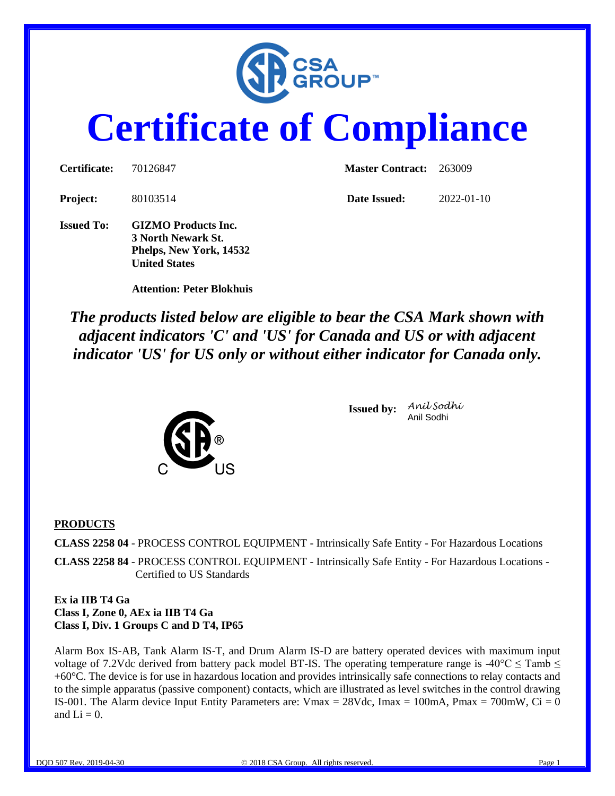

# **Certificate of Compliance**

| <b>Certificate:</b> | 70126847                                                                                            | <b>Master Contract:</b> 263009 |                  |  |
|---------------------|-----------------------------------------------------------------------------------------------------|--------------------------------|------------------|--|
| <b>Project:</b>     | 80103514                                                                                            | Date Issued:                   | $2022 - 01 - 10$ |  |
| <b>Issued To:</b>   | <b>GIZMO</b> Products Inc.<br>3 North Newark St.<br>Phelps, New York, 14532<br><b>United States</b> |                                |                  |  |

 **Attention: Peter Blokhuis**

*The products listed below are eligible to bear the CSA Mark shown with adjacent indicators 'C' and 'US' for Canada and US or with adjacent indicator 'US' for US only or without either indicator for Canada only.*



**Issued by:** *Anil Sodhi* Anil Sodhi

#### **PRODUCTS**

**CLASS 2258 04** - PROCESS CONTROL EQUIPMENT - Intrinsically Safe Entity - For Hazardous Locations

**CLASS 2258 84** - PROCESS CONTROL EQUIPMENT - Intrinsically Safe Entity - For Hazardous Locations - Certified to US Standards

#### **Ex ia IIB T4 Ga Class I, Zone 0, AEx ia IIB T4 Ga Class I, Div. 1 Groups C and D T4, IP65**

Alarm Box IS-AB, Tank Alarm IS-T, and Drum Alarm IS-D are battery operated devices with maximum input voltage of 7.2Vdc derived from battery pack model BT-IS. The operating temperature range is -40 $^{\circ}$ C  $\leq$  Tamb  $\leq$ +60°C. The device is for use in hazardous location and provides intrinsically safe connections to relay contacts and to the simple apparatus (passive component) contacts, which are illustrated as level switches in the control drawing IS-001. The Alarm device Input Entity Parameters are:  $V$ max = 28Vdc, Imax = 100mA, Pmax = 700mW, Ci = 0 and  $Li = 0$ .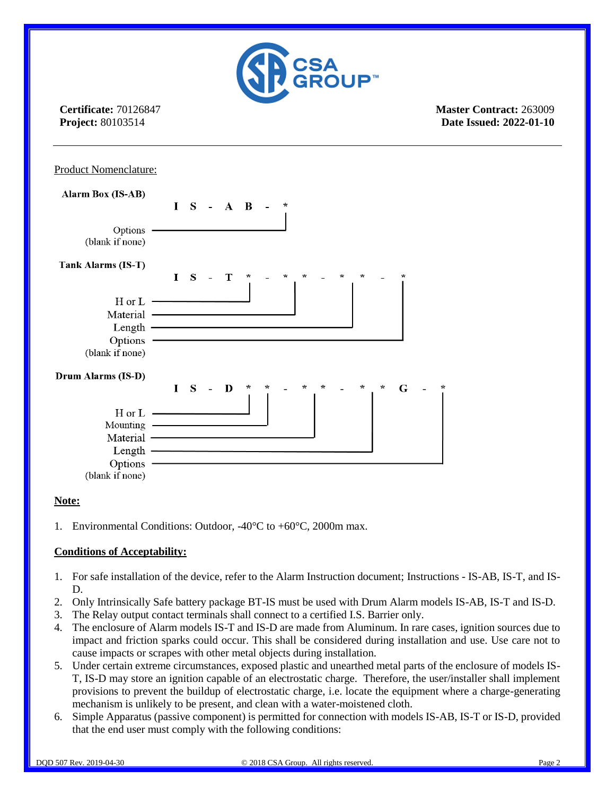

**Certificate:** 70126847 **Project:** 80103514

**Master Contract:** 263009 **Date Issued: 2022-01-10**



#### **Note:**

1. Environmental Conditions: Outdoor, -40°C to +60°C, 2000m max.

#### **Conditions of Acceptability:**

- 1. For safe installation of the device, refer to the Alarm Instruction document; Instructions IS-AB, IS-T, and IS-D.
- 2. Only Intrinsically Safe battery package BT-IS must be used with Drum Alarm models IS-AB, IS-T and IS-D.
- 3. The Relay output contact terminals shall connect to a certified I.S. Barrier only.
- 4. The enclosure of Alarm models IS-T and IS-D are made from Aluminum. In rare cases, ignition sources due to impact and friction sparks could occur. This shall be considered during installation and use. Use care not to cause impacts or scrapes with other metal objects during installation.
- 5. Under certain extreme circumstances, exposed plastic and unearthed metal parts of the enclosure of models IS-T, IS-D may store an ignition capable of an electrostatic charge. Therefore, the user/installer shall implement provisions to prevent the buildup of electrostatic charge, i.e. locate the equipment where a charge-generating mechanism is unlikely to be present, and clean with a water-moistened cloth.
- 6. Simple Apparatus (passive component) is permitted for connection with models IS-AB, IS-T or IS-D, provided that the end user must comply with the following conditions: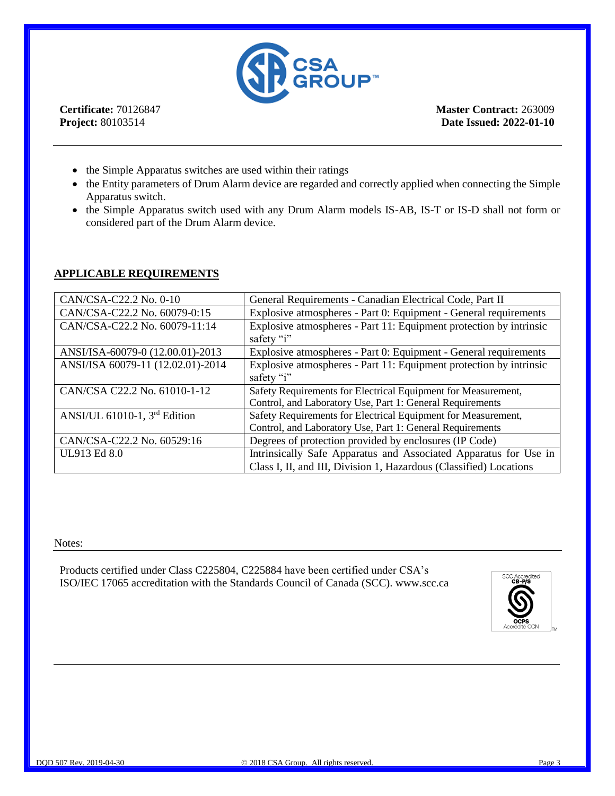

**Certificate:** 70126847 **Project:** 80103514

**Master Contract:** 263009 **Date Issued: 2022-01-10**

- the Simple Apparatus switches are used within their ratings
- the Entity parameters of Drum Alarm device are regarded and correctly applied when connecting the Simple Apparatus switch.
- the Simple Apparatus switch used with any Drum Alarm models IS-AB, IS-T or IS-D shall not form or considered part of the Drum Alarm device.

#### **APPLICABLE REQUIREMENTS**

| CAN/CSA-C22.2 No. 0-10            | General Requirements - Canadian Electrical Code, Part II                         |
|-----------------------------------|----------------------------------------------------------------------------------|
| CAN/CSA-C22.2 No. 60079-0:15      | Explosive atmospheres - Part 0: Equipment - General requirements                 |
| CAN/CSA-C22.2 No. 60079-11:14     | Explosive atmospheres - Part 11: Equipment protection by intrinsic<br>safety "i" |
| ANSI/ISA-60079-0 (12.00.01)-2013  | Explosive atmospheres - Part 0: Equipment - General requirements                 |
| ANSI/ISA 60079-11 (12.02.01)-2014 | Explosive atmospheres - Part 11: Equipment protection by intrinsic               |
|                                   | safety "i"                                                                       |
| CAN/CSA C22.2 No. 61010-1-12      | Safety Requirements for Electrical Equipment for Measurement,                    |
|                                   | Control, and Laboratory Use, Part 1: General Requirements                        |
| ANSI/UL 61010-1, $3rd$ Edition    | Safety Requirements for Electrical Equipment for Measurement,                    |
|                                   | Control, and Laboratory Use, Part 1: General Requirements                        |
| CAN/CSA-C22.2 No. 60529:16        | Degrees of protection provided by enclosures (IP Code)                           |
| UL913 Ed 8.0                      | Intrinsically Safe Apparatus and Associated Apparatus for Use in                 |
|                                   | Class I, II, and III, Division 1, Hazardous (Classified) Locations               |

Notes:

Products certified under Class C225804, C225884 have been certified under CSA's ISO/IEC 17065 accreditation with the Standards Council of Canada (SCC). www.scc.ca